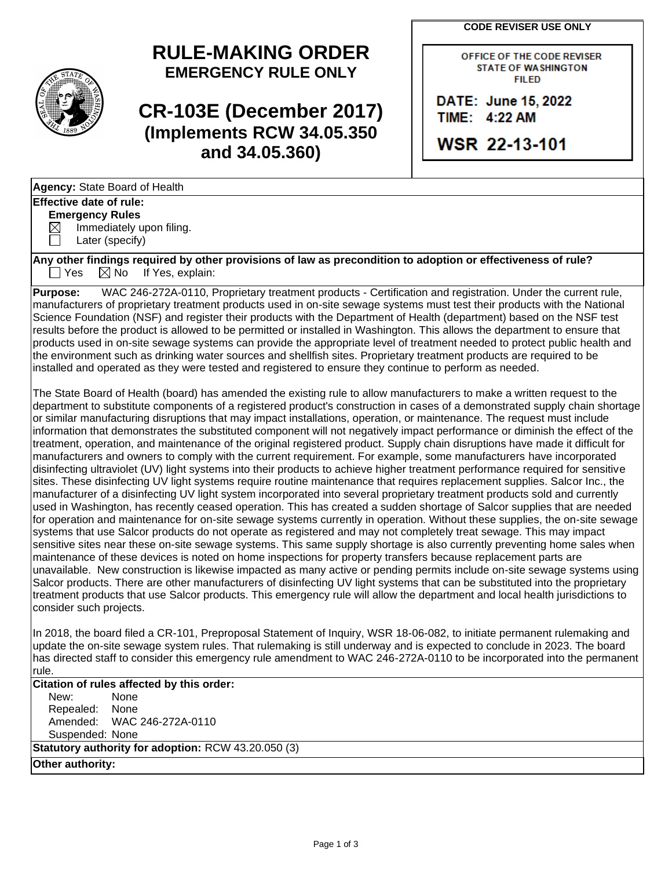**CODE REVISER USE ONLY**

# **RULE-MAKING ORDER EMERGENCY RULE ONLY**

**CR-103E (December 2017) (Implements RCW 34.05.350 and 34.05.360)**

OFFICE OF THE CODE REVISER **STATE OF WASHINGTON FILED** 

DATE: June 15, 2022 TIME: 4:22 AM

**WSR 22-13-101** 

**Agency:** State Board of Health **Effective date of rule:**

## **Emergency Rules**

 $\boxtimes$  Immediately upon filing.

Later (specify)

**Any other findings required by other provisions of law as precondition to adoption or effectiveness of rule?**  $\Box$  Yes  $\Box$  No If Yes, explain:

**Purpose:** WAC 246-272A-0110, Proprietary treatment products - Certification and registration. Under the current rule, manufacturers of proprietary treatment products used in on-site sewage systems must test their products with the National Science Foundation (NSF) and register their products with the Department of Health (department) based on the NSF test results before the product is allowed to be permitted or installed in Washington. This allows the department to ensure that products used in on-site sewage systems can provide the appropriate level of treatment needed to protect public health and the environment such as drinking water sources and shellfish sites. Proprietary treatment products are required to be installed and operated as they were tested and registered to ensure they continue to perform as needed.

The State Board of Health (board) has amended the existing rule to allow manufacturers to make a written request to the department to substitute components of a registered product's construction in cases of a demonstrated supply chain shortage or similar manufacturing disruptions that may impact installations, operation, or maintenance. The request must include information that demonstrates the substituted component will not negatively impact performance or diminish the effect of the treatment, operation, and maintenance of the original registered product. Supply chain disruptions have made it difficult for manufacturers and owners to comply with the current requirement. For example, some manufacturers have incorporated disinfecting ultraviolet (UV) light systems into their products to achieve higher treatment performance required for sensitive sites. These disinfecting UV light systems require routine maintenance that requires replacement supplies. Salcor Inc., the manufacturer of a disinfecting UV light system incorporated into several proprietary treatment products sold and currently used in Washington, has recently ceased operation. This has created a sudden shortage of Salcor supplies that are needed for operation and maintenance for on-site sewage systems currently in operation. Without these supplies, the on-site sewage systems that use Salcor products do not operate as registered and may not completely treat sewage. This may impact sensitive sites near these on-site sewage systems. This same supply shortage is also currently preventing home sales when maintenance of these devices is noted on home inspections for property transfers because replacement parts are unavailable. New construction is likewise impacted as many active or pending permits include on-site sewage systems using Salcor products. There are other manufacturers of disinfecting UV light systems that can be substituted into the proprietary treatment products that use Salcor products. This emergency rule will allow the department and local health jurisdictions to consider such projects.

In 2018, the board filed a CR-101, Preproposal Statement of Inquiry, WSR 18-06-082, to initiate permanent rulemaking and update the on-site sewage system rules. That rulemaking is still underway and is expected to conclude in 2023. The board has directed staff to consider this emergency rule amendment to WAC 246-272A-0110 to be incorporated into the permanent rule.

**Citation of rules affected by this order:**

New: None Repealed: None Amended: WAC 246-272A-0110 Suspended: None **Statutory authority for adoption:** RCW 43.20.050 (3)

**Other authority:**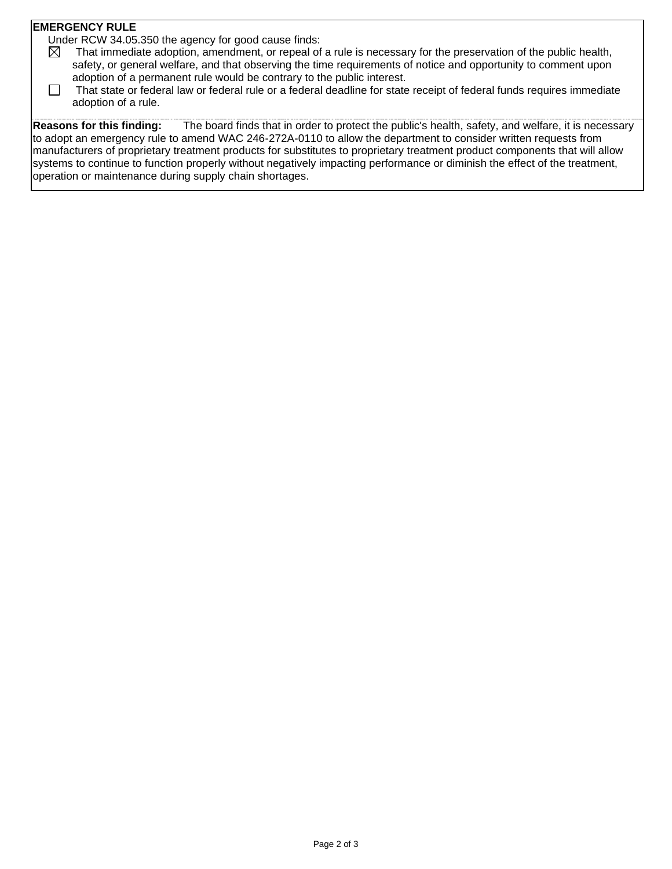#### **EMERGENCY RULE**

Under RCW 34.05.350 the agency for good cause finds:

- $\boxtimes$  That immediate adoption, amendment, or repeal of a rule is necessary for the preservation of the public health, safety, or general welfare, and that observing the time requirements of notice and opportunity to comment upon adoption of a permanent rule would be contrary to the public interest.
- $\Box$  That state or federal law or federal rule or a federal deadline for state receipt of federal funds requires immediate adoption of a rule.

**Reasons for this finding:** The board finds that in order to protect the public's health, safety, and welfare, it is necessary to adopt an emergency rule to amend WAC 246-272A-0110 to allow the department to consider written requests from manufacturers of proprietary treatment products for substitutes to proprietary treatment product components that will allow systems to continue to function properly without negatively impacting performance or diminish the effect of the treatment, operation or maintenance during supply chain shortages.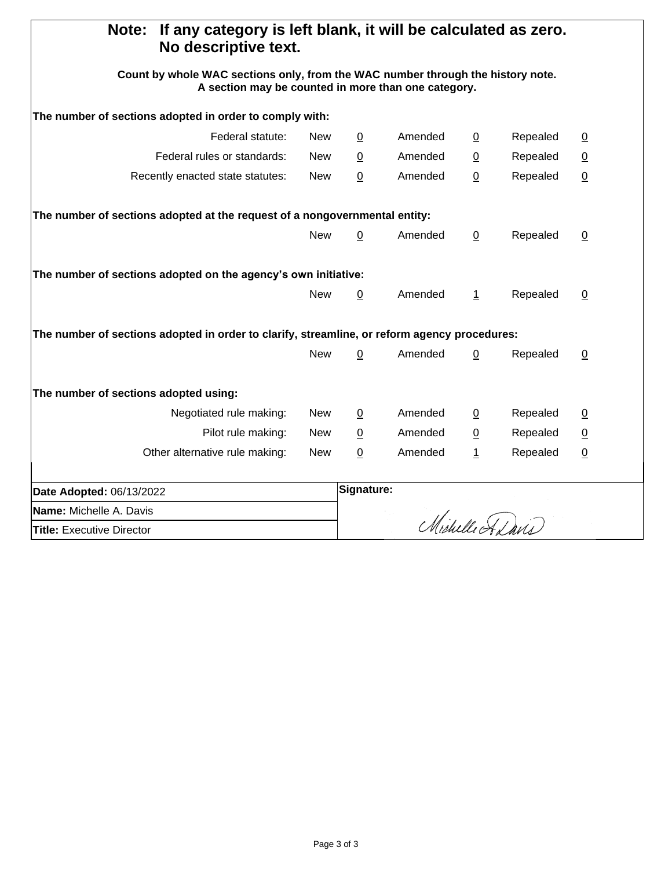| If any category is left blank, it will be calculated as zero.<br>Note:<br>No descriptive text.                                         |            |                 |         |                |          |                 |
|----------------------------------------------------------------------------------------------------------------------------------------|------------|-----------------|---------|----------------|----------|-----------------|
| Count by whole WAC sections only, from the WAC number through the history note.<br>A section may be counted in more than one category. |            |                 |         |                |          |                 |
| The number of sections adopted in order to comply with:                                                                                |            |                 |         |                |          |                 |
| Federal statute:                                                                                                                       | New        | $\overline{0}$  | Amended | $\overline{0}$ | Repealed | $\overline{0}$  |
| Federal rules or standards:                                                                                                            | <b>New</b> | 0               | Amended | $\overline{0}$ | Repealed | $\overline{0}$  |
| Recently enacted state statutes:                                                                                                       | <b>New</b> | $\underline{0}$ | Amended | $\pmb{0}$      | Repealed | $\underline{0}$ |
| The number of sections adopted at the request of a nongovernmental entity:                                                             |            |                 |         |                |          |                 |
|                                                                                                                                        | <b>New</b> | $\overline{0}$  | Amended | $\overline{0}$ | Repealed | $\overline{0}$  |
| The number of sections adopted on the agency's own initiative:                                                                         |            |                 |         |                |          |                 |
|                                                                                                                                        | <b>New</b> | $\overline{0}$  | Amended | $\perp$        | Repealed | $\underline{0}$ |
| The number of sections adopted in order to clarify, streamline, or reform agency procedures:                                           |            |                 |         |                |          |                 |
|                                                                                                                                        | <b>New</b> | $\mathbf 0$     | Amended | $\mathbf 0$    | Repealed | $\overline{0}$  |
| The number of sections adopted using:                                                                                                  |            |                 |         |                |          |                 |
| Negotiated rule making:                                                                                                                | New        | $\overline{0}$  | Amended | $\overline{0}$ | Repealed | $\overline{0}$  |
| Pilot rule making:                                                                                                                     | New        | $\overline{0}$  | Amended | $\overline{0}$ | Repealed | $\overline{0}$  |
| Other alternative rule making:                                                                                                         | <b>New</b> | 0               | Amended | $\overline{1}$ | Repealed | $\overline{0}$  |
| Date Adopted: 06/13/2022                                                                                                               |            | Signature:      |         |                |          |                 |
| Name: Michelle A. Davis                                                                                                                |            |                 |         |                |          |                 |
| <b>Title: Executive Director</b>                                                                                                       |            | Michelle Adavis |         |                |          |                 |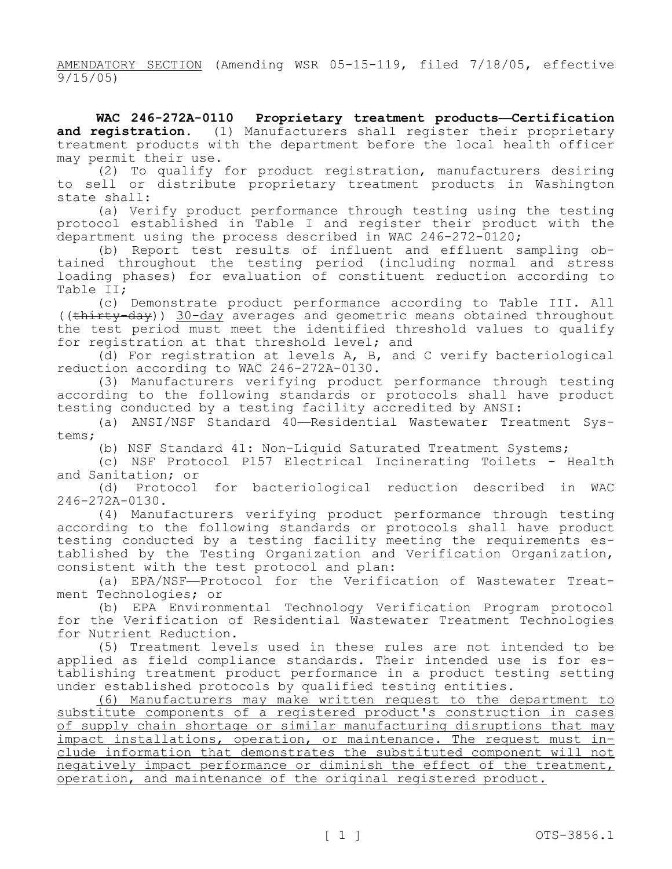AMENDATORY SECTION (Amending WSR 05-15-119, filed 7/18/05, effective 9/15/05)

**WAC 246-272A-0110 Proprietary treatment products—Certification**  and registration. (1) Manufacturers shall register their proprietary treatment products with the department before the local health officer may permit their use.

(2) To qualify for product registration, manufacturers desiring to sell or distribute proprietary treatment products in Washington state shall:

(a) Verify product performance through testing using the testing protocol established in Table I and register their product with the department using the process described in WAC 246-272-0120;

(b) Report test results of influent and effluent sampling obtained throughout the testing period (including normal and stress loading phases) for evaluation of constituent reduction according to Table II;

(c) Demonstrate product performance according to Table III. All ((thirty-day)) 30-day averages and geometric means obtained throughout the test period must meet the identified threshold values to qualify for registration at that threshold level; and

(d) For registration at levels A, B, and C verify bacteriological reduction according to WAC 246-272A-0130.

(3) Manufacturers verifying product performance through testing according to the following standards or protocols shall have product testing conducted by a testing facility accredited by ANSI:

(a) ANSI/NSF Standard 40—Residential Wastewater Treatment Systems;

(b) NSF Standard 41: Non-Liquid Saturated Treatment Systems;

(c) NSF Protocol P157 Electrical Incinerating Toilets - Health and Sanitation; or

(d) Protocol for bacteriological reduction described in WAC 246-272A-0130.

(4) Manufacturers verifying product performance through testing according to the following standards or protocols shall have product testing conducted by a testing facility meeting the requirements established by the Testing Organization and Verification Organization, consistent with the test protocol and plan:

(a) EPA/NSF—Protocol for the Verification of Wastewater Treatment Technologies; or

(b) EPA Environmental Technology Verification Program protocol for the Verification of Residential Wastewater Treatment Technologies for Nutrient Reduction.

(5) Treatment levels used in these rules are not intended to be applied as field compliance standards. Their intended use is for establishing treatment product performance in a product testing setting under established protocols by qualified testing entities.

(6) Manufacturers may make written request to the department to substitute components of a registered product's construction in cases of supply chain shortage or similar manufacturing disruptions that may impact installations, operation, or maintenance. The request must include information that demonstrates the substituted component will not negatively impact performance or diminish the effect of the treatment, operation, and maintenance of the original registered product.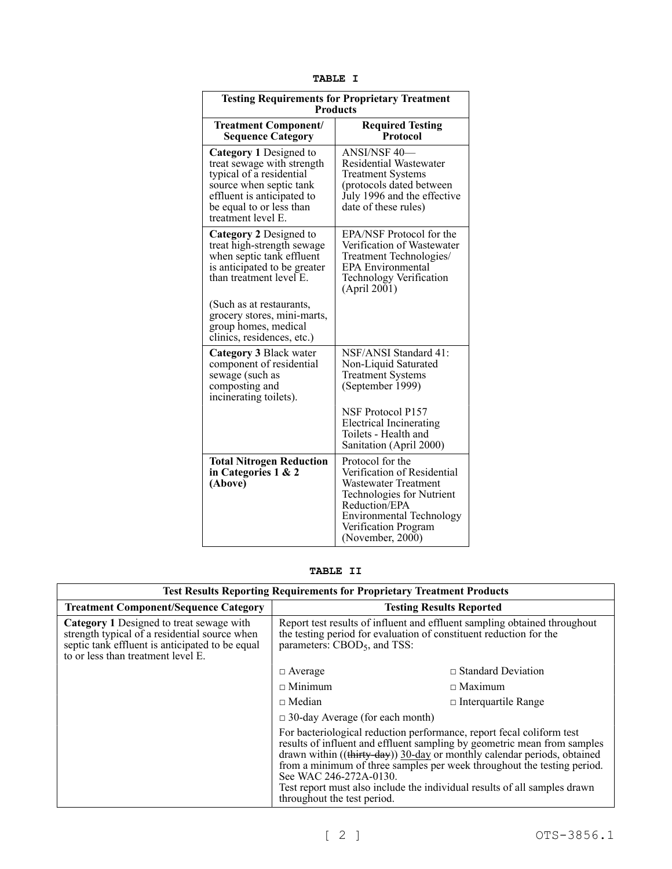| . .<br>u.<br>o<br>∍ |  |
|---------------------|--|
|---------------------|--|

| <b>Testing Requirements for Proprietary Treatment</b><br><b>Products</b>                                                                                                                    |                                                                                                                                                                                               |  |  |  |
|---------------------------------------------------------------------------------------------------------------------------------------------------------------------------------------------|-----------------------------------------------------------------------------------------------------------------------------------------------------------------------------------------------|--|--|--|
| <b>Treatment Component/</b><br><b>Sequence Category</b>                                                                                                                                     | <b>Required Testing</b><br><b>Protocol</b>                                                                                                                                                    |  |  |  |
| Category 1 Designed to<br>treat sewage with strength<br>typical of a residential<br>source when septic tank<br>effluent is anticipated to<br>be equal to or less than<br>treatment level E. | <b>ANSI/NSF 40-</b><br><b>Residential Wastewater</b><br><b>Treatment Systems</b><br>(protocols dated between)<br>July 1996 and the effective<br>date of these rules)                          |  |  |  |
| Category 2 Designed to<br>treat high-strength sewage<br>when septic tank effluent<br>is anticipated to be greater<br>than treatment level E.                                                | EPA/NSF Protocol for the<br>Verification of Wastewater<br>Treatment Technologies/<br><b>EPA Environmental</b><br>Technology Verification<br>(April 2001)                                      |  |  |  |
| (Such as at restaurants,<br>grocery stores, mini-marts,<br>group homes, medical<br>clinics, residences, etc.)                                                                               |                                                                                                                                                                                               |  |  |  |
| Category 3 Black water<br>component of residential<br>sewage (such as<br>composting and<br>incinerating toilets).                                                                           | NSF/ANSI Standard 41:<br>Non-Liquid Saturated<br><b>Treatment Systems</b><br>(September 1999)                                                                                                 |  |  |  |
|                                                                                                                                                                                             | NSF Protocol P157<br><b>Electrical Incinerating</b><br>Toilets - Health and<br>Sanitation (April 2000)                                                                                        |  |  |  |
| <b>Total Nitrogen Reduction</b><br>in Categories $1 \& 2$<br>(Above)                                                                                                                        | Protocol for the<br>Verification of Residential<br>Wastewater Treatment<br>Technologies for Nutrient<br>Reduction/EPA<br>Environmental Technology<br>Verification Program<br>(November, 2000) |  |  |  |

#### **TABLE II**

| <b>Test Results Reporting Requirements for Proprietary Treatment Products</b>                                                                                                             |                                                                                                                                                                                                                                                                                                                                                                                                                                                |                            |  |  |
|-------------------------------------------------------------------------------------------------------------------------------------------------------------------------------------------|------------------------------------------------------------------------------------------------------------------------------------------------------------------------------------------------------------------------------------------------------------------------------------------------------------------------------------------------------------------------------------------------------------------------------------------------|----------------------------|--|--|
| <b>Treatment Component/Sequence Category</b>                                                                                                                                              | <b>Testing Results Reported</b>                                                                                                                                                                                                                                                                                                                                                                                                                |                            |  |  |
| <b>Category 1</b> Designed to treat sewage with<br>strength typical of a residential source when<br>septic tank effluent is anticipated to be equal<br>to or less than treatment level E. | Report test results of influent and effluent sampling obtained throughout<br>the testing period for evaluation of constituent reduction for the<br>parameters: $CBOD5$ , and TSS:                                                                                                                                                                                                                                                              |                            |  |  |
|                                                                                                                                                                                           | $\Box$ Average                                                                                                                                                                                                                                                                                                                                                                                                                                 | $\Box$ Standard Deviation  |  |  |
|                                                                                                                                                                                           | $\Box$ Minimum                                                                                                                                                                                                                                                                                                                                                                                                                                 | $\Box$ Maximum             |  |  |
|                                                                                                                                                                                           | $\Box$ Median                                                                                                                                                                                                                                                                                                                                                                                                                                  | $\Box$ Interguartile Range |  |  |
|                                                                                                                                                                                           | $\Box$ 30-day Average (for each month)                                                                                                                                                                                                                                                                                                                                                                                                         |                            |  |  |
|                                                                                                                                                                                           | For bacteriological reduction performance, report fecal coliform test<br>results of influent and effluent sampling by geometric mean from samples<br>drawn within ((thirty-day)) 30-day or monthly calendar periods, obtained<br>from a minimum of three samples per week throughout the testing period.<br>See WAC 246-272A-0130.<br>Test report must also include the individual results of all samples drawn<br>throughout the test period. |                            |  |  |